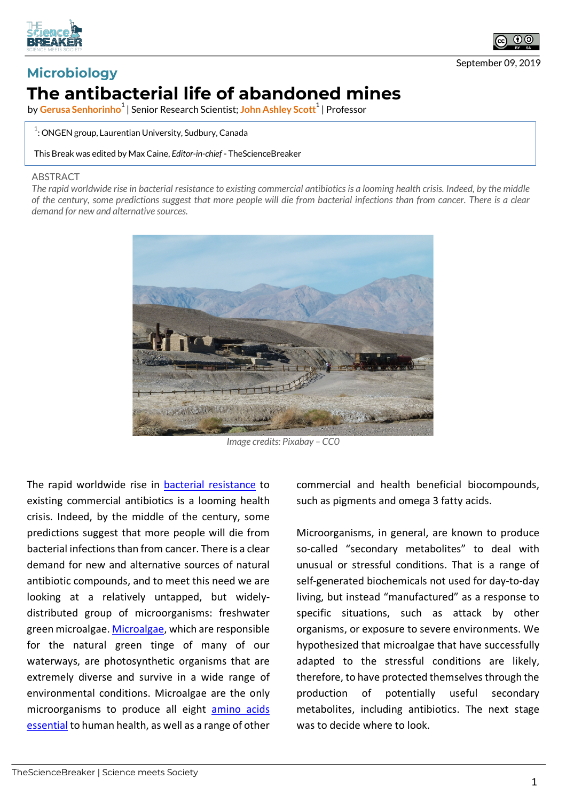



## **Microbiology The antibacterial life of abandoned mines**

by <mark>Gerusa Senhorinho $^1$ </mark> | Senior Research Scientist; <mark>John Ashley Scott $^1$ </mark> | Professor

 $^{\rm 1}$ : ONGEN group, Laurentian University, Sudbury, Canada

This Break was edited by Max Caine, *Editor-in-chief* - TheScienceBreaker

## **ABSTRACT**

*The rapid worldwide rise in bacterial resistance to existing commercial antibiotics is a looming health crisis. Indeed, by the middle of the century, some predictions suggest that more people will die from bacterial infections than from cancer. There is a clear demand for new and alternative sources.*



*Image credits: Pixabay – CC0*

The rapid worldwide rise in bacterial resistance to existing commercial antibiotics is a looming health crisis. Indeed, by the middle of the century, some predictions suggest that more people will die from bacterial infections than from cancer. There is a clear demand for new and alternative sources of natural antibiotic compounds, and to meet this need we are looking at a relatively untapped, but widelydistributed group of microorganisms: freshwater green microalgae. Microalgae, which are responsible for the natural green tinge of many of our waterways, are photosynthetic organisms that are extremely diverse and survive in a wide range of environmental conditions. Microalgae are the only microorganisms to produce all eight amino acids essential to human health, as well as a range of other

commercial and health beneficial biocompounds, such as pigments and omega 3 fatty acids.

Microorganisms, in general, are known to produce so-called "secondary metabolites" to deal with unusual or stressful conditions. That is a range of self-generated biochemicals not used for day-to-day living, but instead "manufactured" as a response to specific situations, such as attack by other organisms, or exposure to severe environments. We hypothesized that microalgae that have successfully adapted to the stressful conditions are likely, therefore, to have protected themselves through the production of potentially useful secondary metabolites, including antibiotics. The next stage was to decide where to look.